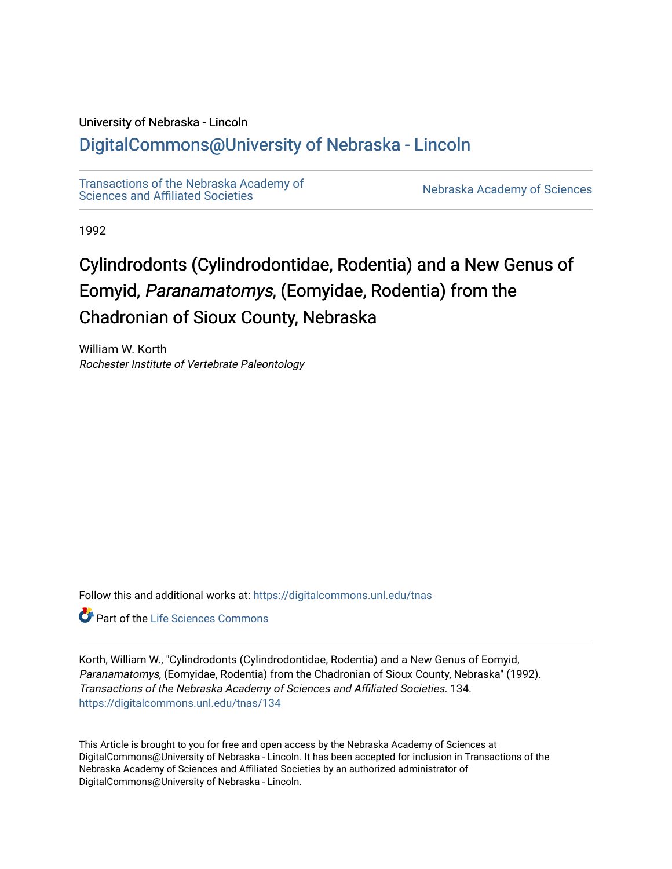# University of Nebraska - Lincoln

# [DigitalCommons@University of Nebraska - Lincoln](https://digitalcommons.unl.edu/)

[Transactions of the Nebraska Academy of](https://digitalcommons.unl.edu/tnas)  Transactions of the Nebraska Academy of Sciences<br>Sciences and Affiliated Societies

1992

# Cylindrodonts (Cylindrodontidae, Rodentia) and a New Genus of Eomyid, Paranamatomys, (Eomyidae, Rodentia) from the Chadronian of Sioux County, Nebraska

William W. Korth Rochester Institute of Vertebrate Paleontology

Follow this and additional works at: [https://digitalcommons.unl.edu/tnas](https://digitalcommons.unl.edu/tnas?utm_source=digitalcommons.unl.edu%2Ftnas%2F134&utm_medium=PDF&utm_campaign=PDFCoverPages) 

**C** Part of the Life Sciences Commons

Korth, William W., "Cylindrodonts (Cylindrodontidae, Rodentia) and a New Genus of Eomyid, Paranamatomys, (Eomyidae, Rodentia) from the Chadronian of Sioux County, Nebraska" (1992). Transactions of the Nebraska Academy of Sciences and Affiliated Societies. 134. [https://digitalcommons.unl.edu/tnas/134](https://digitalcommons.unl.edu/tnas/134?utm_source=digitalcommons.unl.edu%2Ftnas%2F134&utm_medium=PDF&utm_campaign=PDFCoverPages) 

This Article is brought to you for free and open access by the Nebraska Academy of Sciences at DigitalCommons@University of Nebraska - Lincoln. It has been accepted for inclusion in Transactions of the Nebraska Academy of Sciences and Affiliated Societies by an authorized administrator of DigitalCommons@University of Nebraska - Lincoln.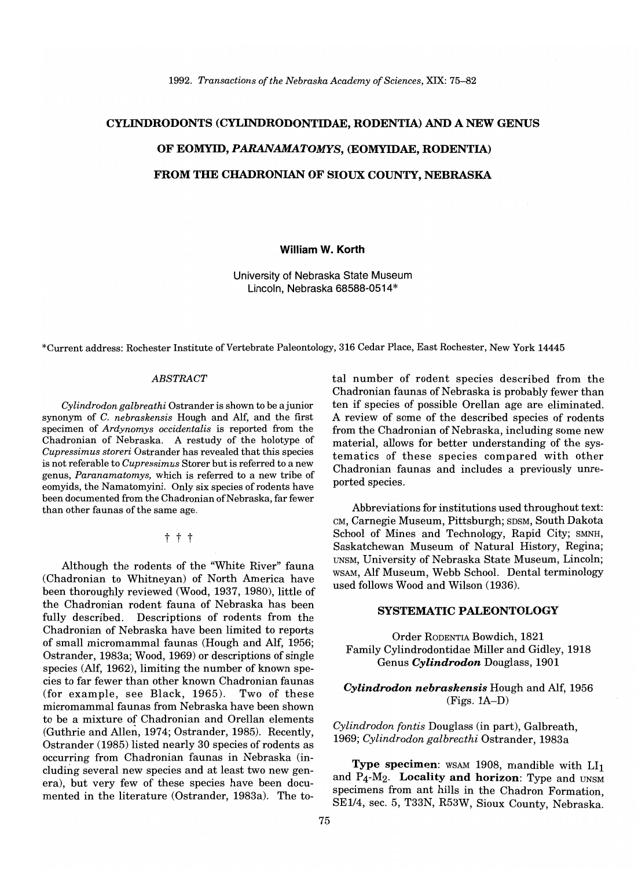#### *1992. Transactions of the Nebraska Academy of Sciences,* XIX: 75-82

# CYLINDRODONTS (CYLINDRODONTIDAE, RODENTIA) AND A NEW GENUS OF EOMYID, PARANAMATOMYS, (EOMYIDAE, RODENTIA) FROM THE CHADRONIAN OF SIOUX COUNTY, NEBRASKA

#### William W. Korth

University of Nebraska State Museum Lincoln, Nebraska 68588-0514\*

\*Current address: Rochester Institute of Vertebrate Paleontology, 316 Cedar Place, East Rochester, New York 14445

#### *ABSTRACT*

*Cylindrodon galbreathi* Ostrander is shown to be ajunior synonym of C. *nebraskensis* Hough and AIf, and the first specimen of *Ardynomys occidentalis* is reported from the Chadronian of Nebraska. A restudy of the holotype of *Cupressimus storeri* Ostrander has revealed that this species is not referable to *Cupressimus* Storer but is referred to a new genus, *Paranamatomys,* which is referred to a new tribe of eomyids, the Namatomyini. Only six species of rodents have been documented from the Chadronian of Nebraska, far fewer than other faunas of the same age.

t t t

Although the rodents of the "White River" fauna (Chadronian to Whitneyan) of North America have been thoroughly reviewed (Wood, 1937, 1980), little of the Chadronian rodent fauna of Nebraska has been fully described. Descriptions of rodents from the Chadronian of Nebraska have been limited to reports of small micromammal faunas (Hough and Alf, 1956; Ostrander, 1983a; Wood, 1969) or descriptions of single species (Alf, 1962), limiting the number of known species to far fewer than other known Chadronian faunas (for example, see Black, 1965). Two of these micromammal faunas from Nebraska have been shown to be a mixture of Chadronian and Orellan elements (Guthrie and Allen, 1974; Ostrander, 1985). Recently, Ostrander (1985) listed nearly 30 species of rodents as occurring from Chadronian faunas in Nebraska (including several new species and at least two new genera), but very few of these species have been documented in the literature (Ostrander, 1983a). The total number of rodent species described from the Chadronian faunas of Nebraska is probably fewer than ten if species of possible Orellan age are eliminated. A review of some of the described species of rodents from the Chadronian of Nebraska, including some new material, allows for better understanding of the systematics of these species compared with other Chadronian faunas and includes a previously unreported species.

Abbreviations for institutions used throughout text: CM, Carnegie Museum, Pittsburgh; SDSM, South Dakota School of Mines and Technology, Rapid City; SMNH, Saskatchewan Museum of Natural History, Regina; UNSM, University of Nebraska State Museum, Lincoln; WSAM, Alf Museum, Webb School. Dental terminology used follows Wood and Wilson (1936).

## SYSTEMATIC PALEONTOLOGY

Order RODENTIA Bowdich, 1821 Family Cylindrodontidae Miller and Gidley, 1918 Genus *Cylindrodon* Douglass, 1901

# *Cylindrodon nebraskensis* Hough and Alf, 1956 (Figs. 1A-D)

*Cylindrodan fantis* Douglass (in part), Galbreath, *1969; Cylindradan galbreathi* Ostrander, 1983a

Type specimen: WSAM 1908, mandible with LI<sub>1</sub> and  $P_4-M_2$ . Locality and horizon: Type and UNSM specimens from ant hills in the Chadron Formation SE1/4, sec. 5, T33N, R53W, Sioux County, Nebraska.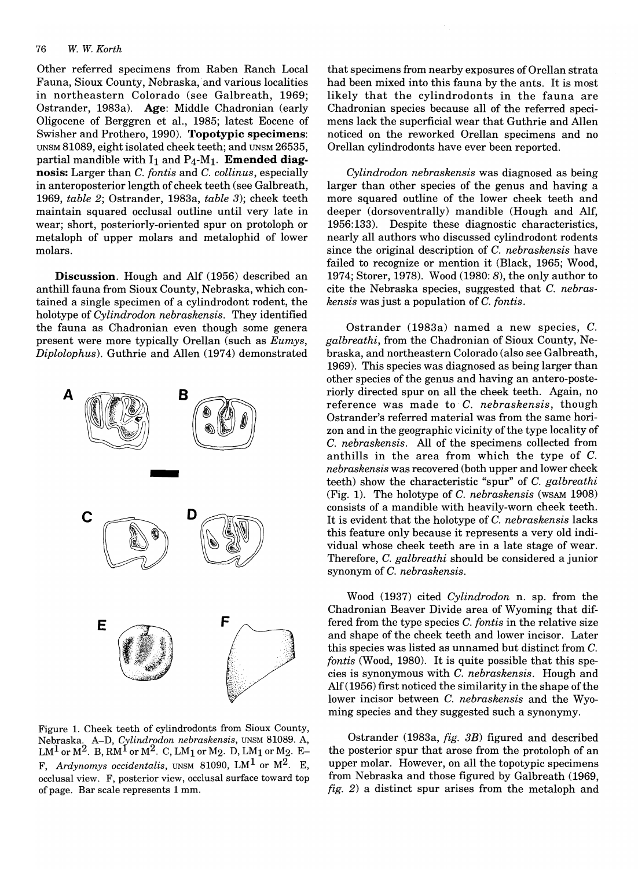#### *76 W. W. Korth*

Other referred specimens from Raben Ranch Local Fauna, Sioux County, Nebraska, and various localities in northeastern Colorado (see Galbreath, 1969; Ostrander, 1983a). Age: Middle Chadronian (early Oligocene of Berggren et aI., 1985; latest Eocene of Swisher and Prothero, 1990). Topotypic specimens: UNSM 81089, eight isolated cheek teeth; and UNSM 26535, partial mandible with  $I_1$  and  $P_4$ -M<sub>1</sub>. **Emended diag**nosis: Larger than *C. fontis* and *C. collinus*, especially in anteroposterior length of cheek teeth (see Galbreath, *1969, table* 2; Ostrander, 1983a, *table* 3); cheek teeth maintain squared occlusal outline until very late in wear; short, posteriorly-oriented spur on protoloph or metaloph of upper molars and metalophid of lower molars.

Discussion. Hough and Alf (1956) described an anthill fauna from Sioux County, Nebraska, which contained a single specimen of a cylindrodont rodent, the holotype of *Cylindrodon nebraskensis.* They identified the fauna as Chadronian even though some genera present were more typically Orellan (such as *Eumys, Diplolophus).* Guthrie and Allen (1974) demonstrated



Figure 1. Cheek teeth of cylindrodonts from Sioux County, Nebraska. A-D, *Cylindrodon nebraskensis,* UNSM 81089. A,  $LM<sup>1</sup>$  or  $M<sup>2</sup>$ . B, RM<sup>1</sup> or  $M<sup>2</sup>$ . C, LM<sub>1</sub> or M<sub>2</sub>. D, LM<sub>1</sub> or M<sub>2</sub>. E-F, Ardynomys occidentalis, UNSM 81090, LM<sup>1</sup> or M<sup>2</sup>. E, occlusal view. F, posterior view, occlusal surface toward top of page. Bar scale represents 1 mm.

that specimens from nearby exposures of Orellan strata had been mixed into this fauna by the ants. It is most likely that the cylindrodonts in the fauna are Chadronian species because all of the referred specimens lack the superficial wear that Guthrie and Allen noticed on the reworked Orellan specimens and no Orellan cylindrodonts have ever been reported.

*Cylindrodon nebraskensis* was diagnosed as being larger than other species of the genus and having a more squared outline of the lower cheek teeth and deeper (dorsoventrally) mandible (Hough and Alf, 1956: 133). Despite these diagnostic characteristics, nearly all authors who discussed cylindrodont rodents since the original description of C. *nebraskensis* have failed to recognize or mention it (Black, 1965; Wood, 1974; Storer, 1978). Wood (1980: 8), the only author to cite the Nebraska species, suggested that C. *nebraskens is* was just a population of C. *{ontis.* 

Ostrander (1983a) named a new species, C. *galbreathi,* from the Chadronian of Sioux County, Nebraska, and northeastern Colorado (also see Galbreath, 1969). This species was diagnosed as being larger than other species of the genus and having an antero-posteriorly directed spur on all the cheek teeth. Again, no reference was made to C. *nebraskensis,* though Ostrander's referred material was from the same horizon and in the geographic vicinity of the type locality of C. *nebraskensis.* All of the specimens collected from anthills in the area from which the type of C. *nebraskensis* was recovered (both upper and lower cheek teeth) show the characteristic "spur" of C. *galbreathi*  (Fig. 1). The holotype of C. *nebraskensis* (WSAM 1908) consists of a mandible with heavily-worn cheek teeth. It is evident that the holotype of C. *nebraskensis* lacks this feature only because it represents a very old individual whose cheek teeth are in a late stage of wear. Therefore, C. *galbreathi* should be considered a junior synonym of C. *nebraskensis.* 

Wood (1937) cited *Cylindrodan* n. sp. from the Chadronian Beaver Divide area of Wyoming that differed from the type species C. *fontis* in the relative size and shape of the cheek teeth and lower incisor. Later this species was listed as unnamed but distinct from C. *fontis* (Wood, 1980). It is quite possible that this species is synonymous with C. *nebraskensis.* Hough and  $Alf(1956)$  first noticed the similarity in the shape of the lower incisor between C. *nebraskensis* and the Wyoming species and they suggested such a synonymy.

Ostrander (1983a, *fig.* 3B) figured and described the posterior spur that arose from the protoloph of an upper molar. However, on all the topotypic specimens from Nebraska and those figured by Galbreath (1969, *fig.* 2) a distinct spur arises from the metaloph and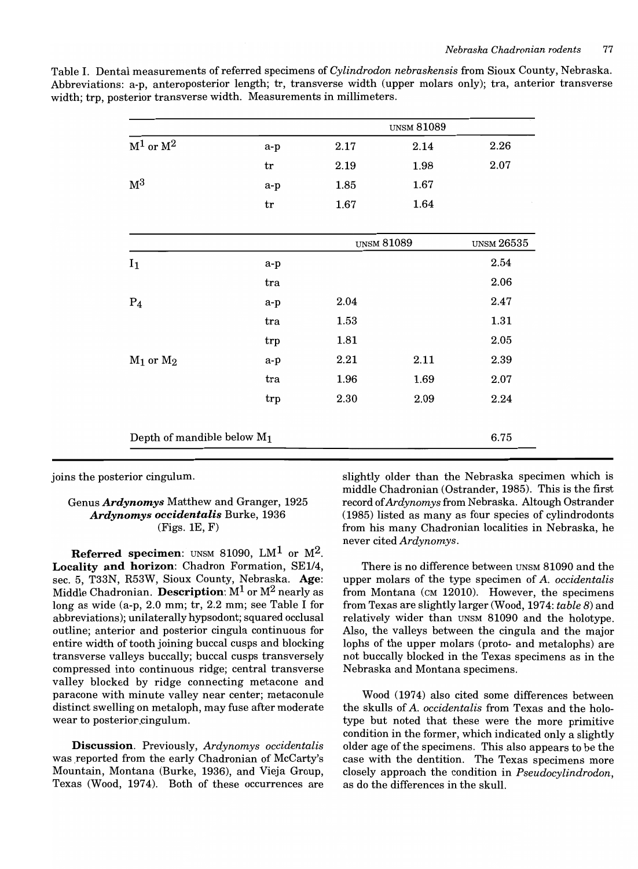| Table I. Dental measurements of referred specimens of Cylindrodon nebraskensis from Sioux County, Nebraska.    |
|----------------------------------------------------------------------------------------------------------------|
| Abbreviations: a-p, anteroposterior length; tr, transverse width (upper molars only); tra, anterior transverse |
| width; trp, posterior transverse width. Measurements in millimeters.                                           |

|                               | <b>UNSM 81089</b> |                   |      |                   |
|-------------------------------|-------------------|-------------------|------|-------------------|
| $M^1$ or $M^2$                | $a-p$             | 2.17              | 2.14 | 2.26              |
|                               | tr                | 2.19              | 1.98 | 2.07              |
| M <sup>3</sup>                | a-p               | 1.85              | 1.67 |                   |
|                               | tr                | 1.67              | 1.64 |                   |
|                               |                   | <b>UNSM 81089</b> |      | <b>UNSM 26535</b> |
| $I_1$                         | a-p               |                   |      | 2.54              |
|                               | tra               |                   |      | 2.06              |
| $P_4$                         | a-p               | 2.04              |      | 2.47              |
|                               | tra               | 1.53              |      | 1.31              |
|                               | trp               | 1.81              |      | 2.05              |
| $M_1$ or $M_2$                | a-p               | 2.21              | 2.11 | 2.39              |
|                               | tra               | 1.96              | 1.69 | 2.07              |
|                               | trp               | 2.30              | 2.09 | 2.24              |
| Depth of mandible below $M_1$ | 6.75              |                   |      |                   |

joins the posterior cingulum.

# Genus *Ardynomys* Matthew and Granger, 1925 *Ardynomys occidentalis* Burke, 1936  $(Figs. 1E, F)$

**Referred specimen:** UNSM 81090, LM<sup>1</sup> or  $M^2$ . Locality and horizon: Chadron Formation, SE1/4, sec. 5, T33N, R53W, Sioux County, Nebraska. Age: Middle Chadronian. Description:  $M^1$  or  $M^2$  nearly as long as wide (a-p, 2.0 mm; tr, 2.2 mm; see Table I for abbreviations); unilaterally hypsodont; squared occlusal outline; anterior and posterior cingula continuous for entire width of tooth joining buccal cusps and blocking transverse valleys buccally; buccal cusps transversely compressed into continuous ridge; central transverse valley blocked by ridge connecting metacone and paracone with minute valley near center; metaconule distinct swelling on metaloph, may fuse after moderate wear to posterior.cingulum.

Discussion. Previously, *Ardynomys occidentalis*  was reported from the early Chadronian of McCarty's Mountain, Montana (Burke, 1936), and Vieja Group, Texas (Wood, 1974). Both of these occurrences are

slightly older than the Nebraska specimen which is middle Chadronian (Ostrander, 1985). This is the first record of *Ardynomys* from Nebraska. Altough Ostrander (1985) listed as many as four species of cylindrodonts from his many Chadronian localities in Nebraska, he never cited *Ardynomys.* 

There is no difference between UNSM 81090 and the upper molars of the type specimen of A. *occidentalis*  from Montana (CM 12010). However, the specimens from Texas are slightly larger (Wood, 1974: *table* 8) and relatively wider than UNSM 81090 and the holotype. Also, the valleys between the cingula and the major lophs of the upper molars (proto- and metalophs) are not buccally blocked in the Texas specimens as in the Nebraska and Montana specimens.

Wood (1974) also cited some differences between the skulls of A. *occidentalis* from Texas and the holotype but noted that these were the more primitive condition in the former, which indicated only a slightly older age of the specimens. This also appears to be the case with the dentition. The Texas specimens more closely approach the condition in *Pseudocylindrodon,*  as do the differences in the skull.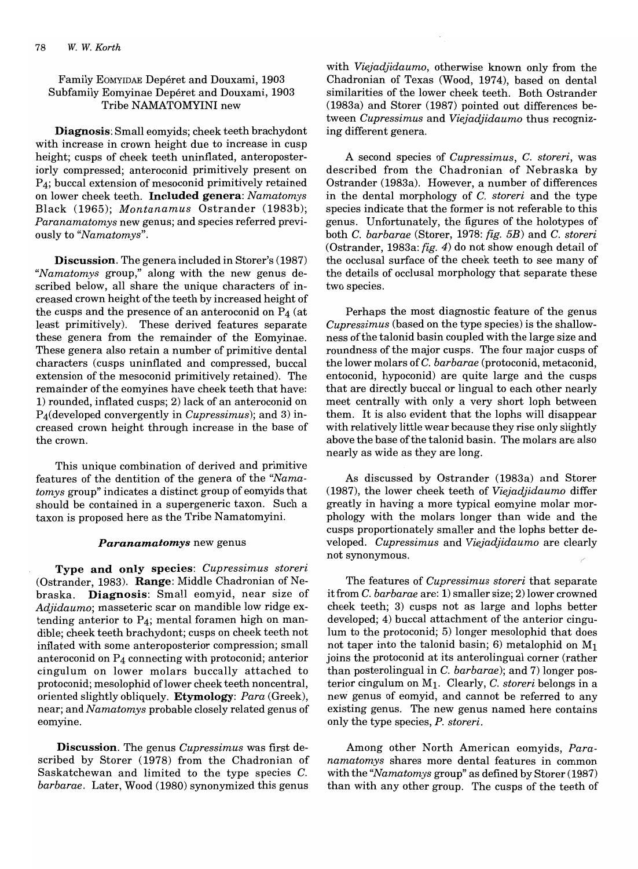# Family EOMYIDAE Depéret and Douxami, 1903 Subfamily Eomyinae Depéret and Douxami, 1903 Tribe NAMATOMYINI new

Diagnosis: Small eomyids; cheek teeth brachydont with increase in crown height due to increase in cusp height; cusps of cheek teeth uninflated, anteroposteriorly compressed; anteroconid primitively present on  $P_4$ ; buccal extension of mesoconid primitively retained on lower cheek teeth. **Included** genera: *Namatomys*  Black (1965); *Montanamus* Ostrander (1983b); *Paranamatomys* new genus; and species referred previously to *"Namatomys".* 

Discussion. The genera included in Storer's (1987) *"Namatomys* group," along with the new genus described below, all share the unique characters of increased crown height of the teeth by increased height of the cusps and the presence of an anteroconid on  $P_4$  (at least primitively). These derived features separate these genera from the remainder of the Eomyinae. These genera also retain a number of primitive dental characters (cusps uninflated and compressed, buccal extension of the mesoconid primitively retained). The remainder of the eomyines have cheek teeth that have: 1) rounded, inflated cusps; 2) lack of an anteroconid on P4(developed convergently in *Cupressimus);* and 3) increased crown height through increase in the base of the crown.

This unique combination of derived and primitive features of the dentition of the genera of the *"Namatomys* group" indicates a distinct group of eomyids that should be contained in a supergeneric taxon. Such a taxon is proposed here as the Tribe Namatomyini.

#### *Paranamatomys* new genus

Type **and only** species: *Cupressimus storeri*  (Ostrander, 1983). Range: Middle Chadronian of Nebraska. Diagnosis: Small eomyid, near size of *Adjidaumo;* masseteric scar on mandible low ridge extending anterior to  $P_4$ ; mental foramen high on mandible; cheek teeth brachydont; cusps on cheek teeth not inflated with some anteroposterior compression; small anteroconid on  $P_4$  connecting with protoconid; anterior cingulum on lower molars buccally attached to protoconid; mesolophid of lower cheek teeth noncentral, oriented slightly obliquely. Etymology: *Para* (Greek), near; and *Namatomys* probable closely related genus of eomyine.

Discussion. The genus *Cupressimus* was first described by Storer (1978) from the Chadronian of Saskatchewan and limited to the type species C. *barbarae.* Later, Wood (1980) synonymized this genus

with *Viejadjidaumo,* otherwise known only from the Chadronian of Texas (Wood, 1974), based on dental similarities of the lower cheek teeth. Both Ostrander (1983a) and Storer (1987) pointed out differences between *Cupressimus* and *Viejadjidaumo* thus recognizing different genera.

A second species of *Cupressimus,* C. *storeri,* was described from the Chadronian of Nebraska by Ostrander (1983a). However, a number of differences in the dental morphology of C. *storeri* and the type species indicate that the former is not referable to this genus. Unfortunately, the figures of the holotypes of both C. *barbarae* (Storer, 1978: *fig. 5B)* and C. *storeri*  (Ostrander, 1983a: *fig.* 4) do not show enough detail of the occlusal surface of the cheek teeth to see many of the details of occlusal morphology that separate these two species.

Perhaps the most diagnostic feature of the genus *Cupressimus* (based on the type species) is the shallowness ofthe talonid basin coupled with the large size and roundness of the major cusps. The four major cusps of the lower molars of C. *barbarae* (protoconid, metaconid, entoconid, hypoconid) are quite large and the cusps that are directly buccal or lingual to each other nearly meet centrally with only a very short loph between them. It is also evident that the lophs will disappear with relatively little wear because they rise only slightly above the base of the talonid basin. The molars are also nearly as wide as they are long.

As discussed by Ostrander (1983a) and Storer (1987), the lower cheek teeth of *Viejadjidaumo* differ greatly in having a more typical eomyine molar morphology with the molars longer than wide and the cusps proportionately smaller and the lophs better developed. *Cupressimus* and *Viejadjidaumo* are clearly not synonymous.

The features of *Cupressimus storeri* that separate it from C. *barbarae* are: 1) smaller size; 2) lower crowned cheek teeth; 3) cusps not as large and lophs better developed; 4) buccal attachment of the anterior cingulum to the protoconid; 5) longer mesolophid that does not taper into the talonid basin; 6) metalophid on  $M_1$ joins the protoconid at its anterolingual corner (rather than posterolingual in C. *barbarae);* and 7) longer posterior cingulum on MI. Clearly, C. *storeri* belongs in a new genus of eomyid, and cannot be referred to any existing genus. The new genus named here contains only the type species, *P. storeri.* 

Among other North American eomyids, *Paranamatomys* shares more dental features in common with the *"Namatomys* group" as defined by Storer (1987) than with any other group. The cusps of the teeth of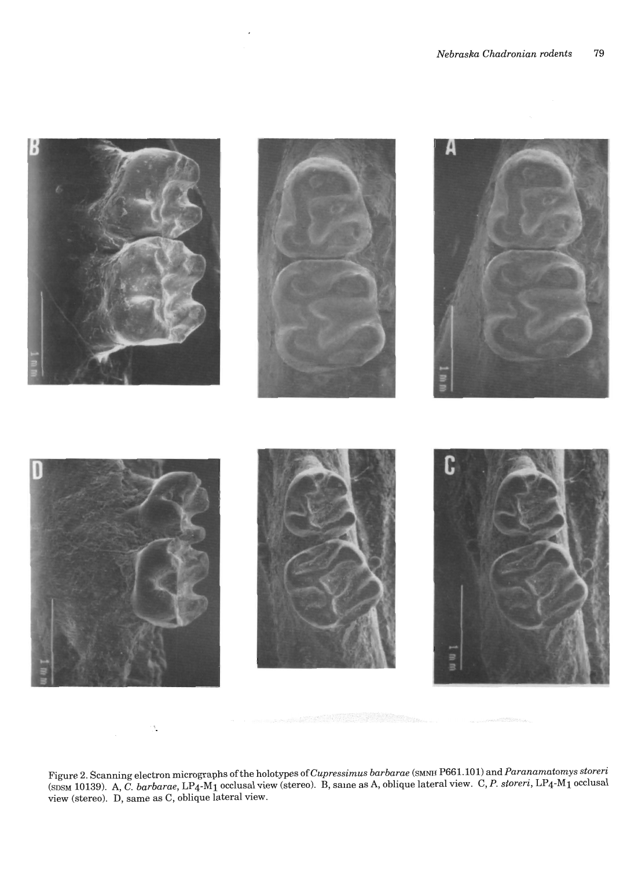

Figure 2. Scanning electron micrographs of the holotypes *ofCupressimus barbarae* (SMNH P661.101) and *Paranamatomys storeri*  (SDSM 10139). A, C. *barbarae,* LP4-M1 occlusal view (stereo). B, same as A, oblique lateral view. C, *P. storeri,* LP4-M1 occlusal  $\frac{1}{\text{view}}$  (stereo). D, same as C, oblique lateral view.

 $\ddot{\phantom{a}}$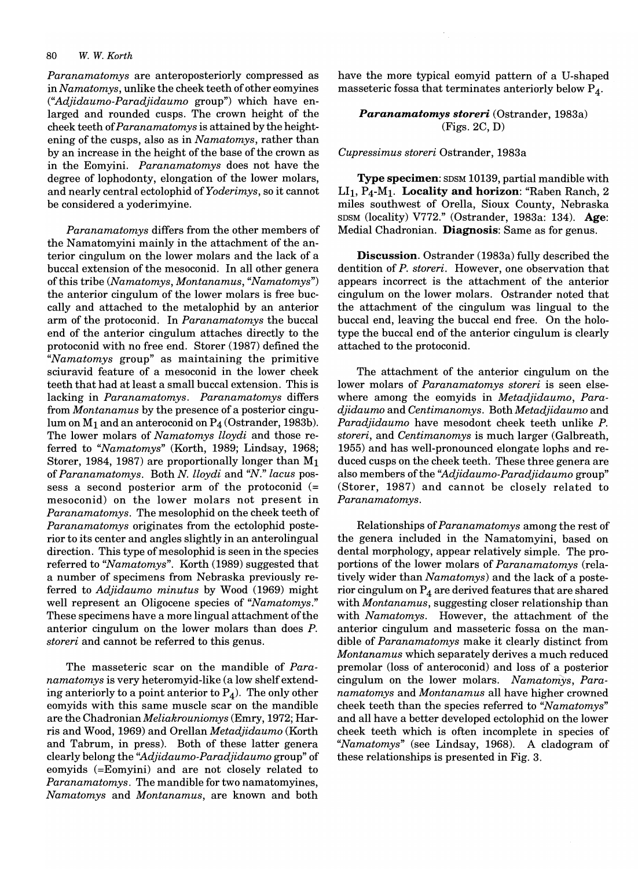*Paranamatomys* are anteroposteriorly compressed as in *Namatomys,* unlike the cheek teeth of other eomyines *("Adjidaumo-Paradjidaumo* group") which have enlarged and rounded cusps. The crown height of the cheek teeth of *Paranamatomys* is attained by the heightening of the cusps, also as in *Namatomys,* rather than by an increase in the height of the base of the crown as in the Eomyini. *Paranamatomys* does not have the degree of lophodonty, elongation of the lower molars, and nearly central ectolophid *ofYoderimys,* so it cannot be considered a yoderimyine.

*Paranamatomys* differs from the other members of the Namatomyini mainly in the attachment of the anterior cingulum on the lower molars and the lack of a buccal extension of the mesoconid. In all other genera of this tribe *(Namatomys, Montanamus, "Namatomys")*  the anterior cingulum of the lower molars is free buccally and attached to the metalophid by an anterior arm of the protoconid. In *Paranamatomys* the buccal end of the anterior cingulum attaches directly to the protoconid with no free end. Storer (1987) defined the *"Namatomys* group" as maintaining the primitive sciuravid feature of a mesoconid in the lower cheek teeth that had at least a small buccal extension. This is lacking in *Paranamatomys. Paranamatomys* differs from *Montanamus* by the presence of a posterior cingulum on  $M_1$  and an anteroconid on  $P_4$  (Ostrander, 1983b). The lower molars of *Namatomys lloydi* and those referred to *"Namatomys"* (Korth, 1989; Lindsay, 1968; Storer, 1984, 1987) are proportionally longer than  $M_1$ of *Paranamatomys.* Both *N. lloydi* and *"N." lacus* possess a second posterior arm of the protoconid (= mesoconid) on the lower molars not present in *Paranamatomys.* The mesolophid on the cheek teeth of *Paranamatomys* originates from the ectolophid posterior to its center and angles slightly in an anterolingual direction. This type of mesolophid is seen in the species referred to *"Namatomys".* Korth (1989) suggested that a number of specimens from Nebraska previously referred to *Adjidaumo minutus* by Wood (1969) might well represent an Oligocene species of *"Namatomys."*  These specimens have a more lingual attachment of the anterior cingulum on the lower molars than does *P. storeri* and cannot be referred to this genus.

The masseteric scar on the mandible of *Paranamatomys* is very heteromyid-like (a low shelf extending anteriorly to a point anterior to  $P_4$ ). The only other eomyids with this same muscle scar on the mandible are the *ChadronianMeliakrouniomys* (Emry, 1972; Harris and Wood, 1969) and Orellan *Metadjidaumo* (Korth and Tabrum, in press). Both of these latter genera clearly belong the *''Adjidaumo-Paradjidaumo* group" of eomyids (=Eomyini) and are not closely related to *Paranamatomys.* The mandible for two namatomyines, *Namatomys* and *Montanamus,* are known and both

have the more typical eomyid pattern of a V-shaped masseteric fossa that terminates anteriorly below  $P_A$ .

*Paranamatomys storeri* (Ostrander, 1983a) (Figs. 2C, D)

*Cupressimus storeri* Ostrander, 1983a

Type specimen: SDSM 10139, partial mandible with LI<sub>1</sub>, P<sub>4</sub>-M<sub>1</sub>. Locality and horizon: "Raben Ranch, 2 miles southwest of Orella, Sioux County, Nebraska SDSM (locality) V772." (Ostrander, 1983a: 134). Age: Medial Chadronian. Diagnosis: Same as for genus.

Discussion. Ostrander (1983a) fully described the dentition of *P. storeri.* However, one observation that appears incorrect is the attachment of the anterior cingulum on the lower molars. Ostrander noted that the attachment of the cingulum was lingual to the buccal end, leaving the buccal end free. On the holotype the buccal end of the anterior cingulum is clearly attached to the protoconid.

The attachment of the anterior cingulum on the lower molars of *Paranamatomys storeri* is seen elsewhere among the eomyids in *Metadjidaumo, Paradjidaumo* and *Centimanomys.* Both *Metadjidaumo* and *Paradjidaumo* have mesodont cheek teeth unlike *P. storeri,* and *Centimanomys* is much larger (Galbreath, 1955) and has well-pronounced elongate lophs and reduced cusps on the cheek teeth. These three genera are also members of the *''Adjidaumo-Paradjidaumo* group" (Storer, 1987) and cannot be closely related to *Paranamatomys.* 

Relationships of *Paranamatomys* among the rest of the genera included in the Namatomyini, based on dental morphology, appear relatively simple. The proportions of the lower molars of *Paranamatomys* (relatively wider than *Namatomys)* and the lack of a posterior cingulum on  $P_4$  are derived features that are shared with *Montanamus,* suggesting closer relationship than with *Namatomys.* However, the attachment of the anterior cingulum and masseteric fossa on the mandible of *Paranamatomys* make it clearly distinct from *Montanamus* which separately derives a much reduced premolar (loss of anteroconid) and loss of a posterior cingulum on the lower molars. *Namatomys, Paranamatomys* and *Montanamus* all have higher crowned cheek teeth than the species referred to *"Namatomys"*  and all have a better developed ectolophid on the lower cheek teeth which is often incomplete in species of *"Namatomys"* (see Lindsay, 1968). A cladogram of these relationships is presented in Fig. 3.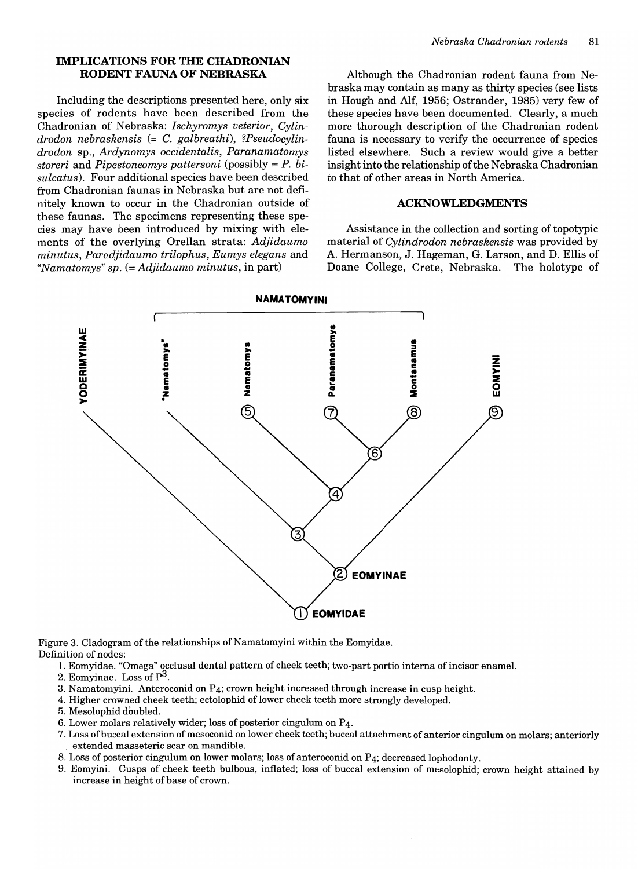## **IMPLICATIONS FOR THE CHADRONIAN RODENT FAUNA OF NEBRASKA**

Including the descriptions presented here, only six species of rodents have been described from the Chadronian of Nebraska: *Ischyromys veterior, Cylindrodon nebraskensis* (= C. *galbreathi), ?Pseudocylindrodon* sp., *Ardynomys occidentalis, Paranamatomys storeri* and *Pipestoneomys pattersoni* (possibly = *P. bisulcatus).* Four additional species have been described from Chadronian faunas in Nebraska but are not definitely known to occur in the Chadronian outside of these faunas. The specimens representing these species may have been introduced by mixing with elements of the overlying Orellan strata: *Adjidaumo minutus, Paradjidaumo trilophus, Eumys elegans* and *"Namatomys" sp.* (= *Adjidaumo minutus,* in part)

Although the Chadronian rodent fauna from Nebraska may contain as many as thirty species (see lists in Hough and Alf, 1956; Ostrander, 1985) very few of these species have been documented. Clearly, a much more thorough description of the Chadronian rodent fauna is necessary to verify the occurrence of species listed elsewhere. Such a review would give a better insight into the relationship of the Nebraska Chadronian to that of other areas in North America.

#### **ACKNOWLEDGMENTS**

Assistance in the collection and sorting of topotypic material of *Cylindrodon nebraskensis* was provided by A. Hermanson, J. Hageman, G. Larson, and D. Ellis of Doane College, Crete, Nebraska. The holotype of



Figure 3. Cladogram of the relationships of Namatomyini within the Eomyidae. Definition of nodes:

- 1. Eomyidae. "Omega" occlusal dental pattern of cheek teeth; two-part portio interna of incisor enamel.
- 2. Eomyinae. Loss of  $P^3$ .
- 3. Namatomyini. Anteroconid on P4; crown height increased through increase in cusp height.
- 4. Higher crowned cheek teeth; ectolophid oflower cheek teeth more strongly developed.
- 5. Mesolophid doubled.
- 6. Lower molars relatively wider; loss of posterior cingulum on  $P_4$ .
- 7. Loss of buccal extension of mesoconid on lower cheek teeth; buccal attachment of anterior cingulum on molars; anteriorly , extended masseteric scar on mandible.
- 8. Loss of posterior cingulum on lower molars; loss of anteroconid on P4; decreased lophodonty.
- 9. Eomyini. Cusps of cheek teeth bulbous, inflated; loss of buccal extension of mesolophid; crown height attained by increase in height of base of crown.